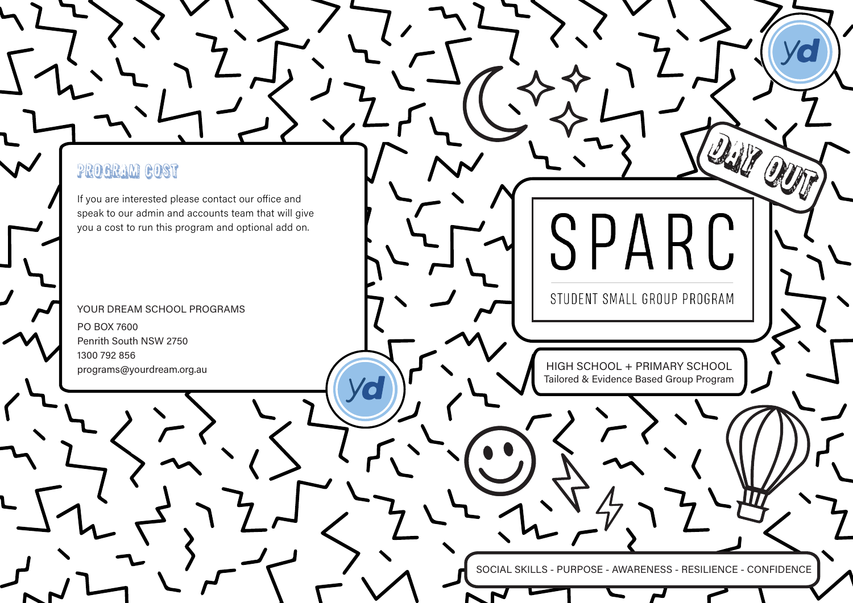### PROGRAM COST

If you are interested please contact our office and speak to our admin and accounts team that will give you a cost to run this program and optional add on.

G

YOUR DREAM SCHOOL PROGRAMS PO BOX 7600 Penrith South NSW 2750 1300 792 856 programs@yourdream.org.au

STUDENT SMALL GROUP PROGRAM

SPARC

**DAY OUT** 

HIGH SCHOOL + PRIMARY SCHOOL Tailored & Evidence Based Group Program

SOCIAL SKILLS - PURPOSE - AWARENESS - RESILIENCE - CONFIDENCE